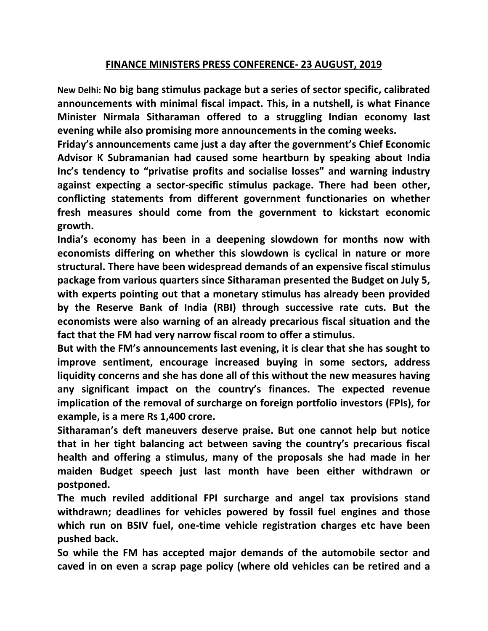## **FINANCE MINISTERS PRESS CONFERENCE- 23 AUGUST, 2019**

**New Delhi: No big bang stimulus package but a series of sector specific, calibrated announcements with minimal fiscal impact. This, in a nutshell, is what Finance Minister Nirmala Sitharaman offered to a struggling Indian economy last evening while also promising more announcements in the coming weeks.**

**Friday's announcements came just a day after the government's Chief Economic Advisor K Subramanian had caused some heartburn by speaking about India Inc's tendency to "privatise profits and socialise losses" and warning industry against expecting a sector-specific stimulus package. There had been other, conflicting statements from different government functionaries on whether fresh measures should come from the government to kickstart economic growth.**

**India's economy has been in a deepening slowdown for months now with economists differing on whether this slowdown is cyclical in nature or more structural. There have been widespread demands of an expensive fiscal stimulus package from various quarters since Sitharaman presented the Budget on July 5, with experts pointing out that a monetary stimulus has already been provided by the Reserve Bank of India (RBI) through successive rate cuts. But the economists were also warning of an already precarious fiscal situation and the fact that the FM had very narrow fiscal room to offer a stimulus.**

**But with the FM's announcements last evening, it is clear that she has sought to improve sentiment, encourage increased buying in some sectors, address liquidity concerns and she has done all of this without the new measures having any significant impact on the country's finances. The expected revenue implication of the removal of surcharge on foreign portfolio investors (FPIs), for example, is a mere Rs 1,400 crore.**

**Sitharaman's deft maneuvers deserve praise. But one cannot help but notice that in her tight balancing act between saving the country's precarious fiscal health and offering a stimulus, many of the proposals she had made in her maiden Budget speech just last month have been either withdrawn or postponed.**

**The much reviled additional FPI surcharge and angel tax provisions stand withdrawn; deadlines for vehicles powered by fossil fuel engines and those which run on BSIV fuel, one-time vehicle registration charges etc have been pushed back.**

**So while the FM has accepted major demands of the automobile sector and caved in on even a scrap page policy (where old vehicles can be retired and a**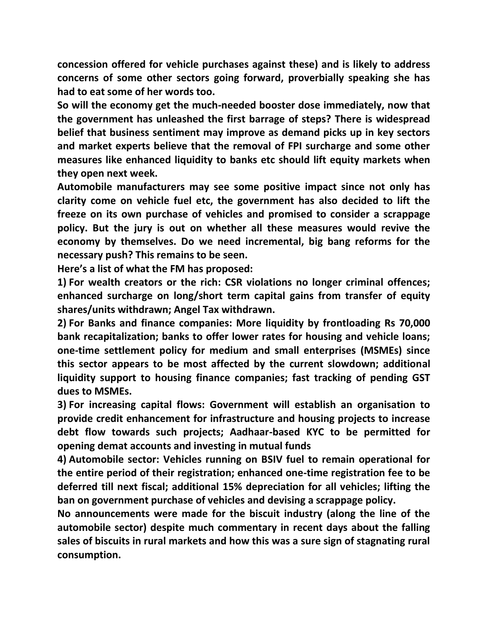**concession offered for vehicle purchases against these) and is likely to address concerns of some other sectors going forward, proverbially speaking she has had to eat some of her words too.**

**So will the economy get the much-needed booster dose immediately, now that the government has unleashed the first barrage of steps? There is widespread belief that business sentiment may improve as demand picks up in key sectors and market experts believe that the removal of FPI surcharge and some other measures like enhanced liquidity to banks etc should lift equity markets when they open next week.**

**Automobile manufacturers may see some positive impact since not only has clarity come on vehicle fuel etc, the government has also decided to lift the freeze on its own purchase of vehicles and promised to consider a scrappage policy. But the jury is out on whether all these measures would revive the economy by themselves. Do we need incremental, big bang reforms for the necessary push? This remains to be seen.**

**Here's a list of what the FM has proposed:**

**1) For wealth creators or the rich: CSR violations no longer criminal offences; enhanced surcharge on long/short term capital gains from transfer of equity shares/units withdrawn; Angel Tax withdrawn.**

**2) For Banks and finance companies: More liquidity by frontloading Rs 70,000 bank recapitalization; banks to offer lower rates for housing and vehicle loans; one-time settlement policy for medium and small enterprises (MSMEs) since this sector appears to be most affected by the current slowdown; additional liquidity support to housing finance companies; fast tracking of pending GST dues to MSMEs.**

**3) For increasing capital flows: Government will establish an organisation to provide credit enhancement for infrastructure and housing projects to increase debt flow towards such projects; Aadhaar-based KYC to be permitted for opening demat accounts and investing in mutual funds**

**4) Automobile sector: Vehicles running on BSIV fuel to remain operational for the entire period of their registration; enhanced one-time registration fee to be deferred till next fiscal; additional 15% depreciation for all vehicles; lifting the ban on government purchase of vehicles and devising a scrappage policy.**

**No announcements were made for the biscuit industry (along the line of the automobile sector) despite much commentary in recent days about the falling sales of biscuits in rural markets and how this was a sure sign of stagnating rural consumption.**